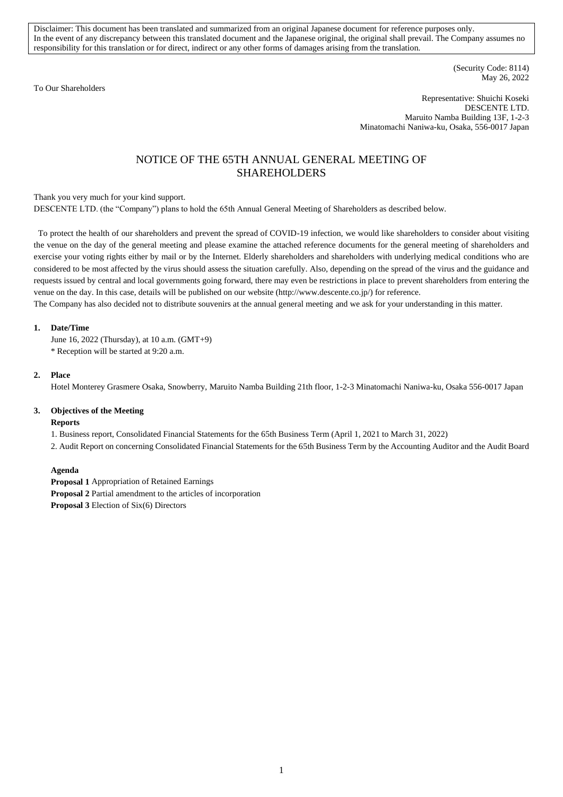Disclaimer: This document has been translated and summarized from an original Japanese document for reference purposes only. In the event of any discrepancy between this translated document and the Japanese original, the original shall prevail. The Company assumes no responsibility for this translation or for direct, indirect or any other forms of damages arising from the translation.

To Our Shareholders

(Security Code: 8114) May 26, 2022

Representative: Shuichi Koseki DESCENTE LTD. Maruito Namba Building 13F, 1-2-3 Minatomachi Naniwa-ku, Osaka, 556-0017 Japan

# NOTICE OF THE 65TH ANNUAL GENERAL MEETING OF SHAREHOLDERS

Thank you very much for your kind support.

DESCENTE LTD. (the "Company") plans to hold the 65th Annual General Meeting of Shareholders as described below.

To protect the health of our shareholders and prevent the spread of COVID-19 infection, we would like shareholders to consider about visiting the venue on the day of the general meeting and please examine the attached reference documents for the general meeting of shareholders and exercise your voting rights either by mail or by the Internet. Elderly shareholders and shareholders with underlying medical conditions who are considered to be most affected by the virus should assess the situation carefully. Also, depending on the spread of the virus and the guidance and requests issued by central and local governments going forward, there may even be restrictions in place to prevent shareholders from entering the venue on the day. In this case, details will be published on our website (http://www.descente.co.jp/) for reference.

The Company has also decided not to distribute souvenirs at the annual general meeting and we ask for your understanding in this matter.

# **1. Date/Time**

June 16, 2022 (Thursday), at 10 a.m. (GMT+9) \* Reception will be started at 9:20 a.m.

#### **2. Place**

Hotel Monterey Grasmere Osaka, Snowberry, Maruito Namba Building 21th floor, 1-2-3 Minatomachi Naniwa-ku, Osaka 556-0017 Japan

#### **3. Objectives of the Meeting**

#### **Reports**

1. Business report, Consolidated Financial Statements for the 65th Business Term (April 1, 2021 to March 31, 2022)

2. Audit Report on concerning Consolidated Financial Statements for the 65th Business Term by the Accounting Auditor and the Audit Board

#### **Agenda**

**Proposal 1** Appropriation of Retained Earnings

**Proposal 2** Partial amendment to the articles of incorporation

**Proposal 3** Election of Six(6) Directors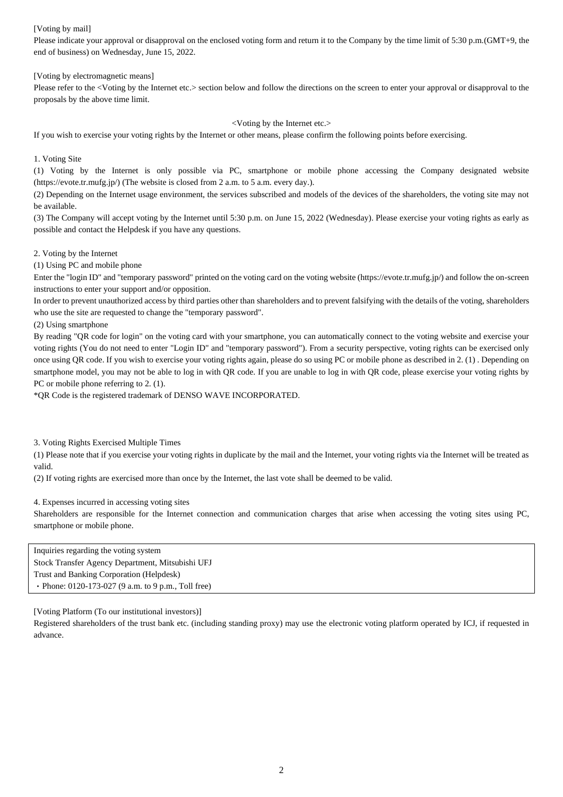## [Voting by mail]

Please indicate your approval or disapproval on the enclosed voting form and return it to the Company by the time limit of 5:30 p.m.(GMT+9, the end of business) on Wednesday, June 15, 2022.

[Voting by electromagnetic means]

Please refer to the <Voting by the Internet etc.> section below and follow the directions on the screen to enter your approval or disapproval to the proposals by the above time limit.

#### <Voting by the Internet etc.>

If you wish to exercise your voting rights by the Internet or other means, please confirm the following points before exercising.

1. Voting Site

(1) Voting by the Internet is only possible via PC, smartphone or mobile phone accessing the Company designated website (https://evote.tr.mufg.jp/) (The website is closed from 2 a.m. to 5 a.m. every day.).

(2) Depending on the Internet usage environment, the services subscribed and models of the devices of the shareholders, the voting site may not be available.

(3) The Company will accept voting by the Internet until 5:30 p.m. on June 15, 2022 (Wednesday). Please exercise your voting rights as early as possible and contact the Helpdesk if you have any questions.

2. Voting by the Internet

(1) Using PC and mobile phone

Enter the "login ID" and "temporary password" printed on the voting card on the voting website (https://evote.tr.mufg.jp/) and follow the on-screen instructions to enter your support and/or opposition.

In order to prevent unauthorized access by third parties other than shareholders and to prevent falsifying with the details of the voting, shareholders who use the site are requested to change the "temporary password".

(2) Using smartphone

By reading "QR code for login" on the voting card with your smartphone, you can automatically connect to the voting website and exercise your voting rights (You do not need to enter "Login ID" and "temporary password"). From a security perspective, voting rights can be exercised only once using QR code. If you wish to exercise your voting rights again, please do so using PC or mobile phone as described in 2. (1) . Depending on smartphone model, you may not be able to log in with QR code. If you are unable to log in with QR code, please exercise your voting rights by PC or mobile phone referring to 2. (1).

\*QR Code is the registered trademark of DENSO WAVE INCORPORATED.

3. Voting Rights Exercised Multiple Times

(1) Please note that if you exercise your voting rights in duplicate by the mail and the Internet, your voting rights via the Internet will be treated as valid.

(2) If voting rights are exercised more than once by the Internet, the last vote shall be deemed to be valid.

4. Expenses incurred in accessing voting sites

Shareholders are responsible for the Internet connection and communication charges that arise when accessing the voting sites using PC, smartphone or mobile phone.

Inquiries regarding the voting system Stock Transfer Agency Department, Mitsubishi UFJ Trust and Banking Corporation (Helpdesk) ・Phone: 0120-173-027 (9 a.m. to 9 p.m., Toll free)

[Voting Platform (To our institutional investors)]

Registered shareholders of the trust bank etc. (including standing proxy) may use the electronic voting platform operated by ICJ, if requested in advance.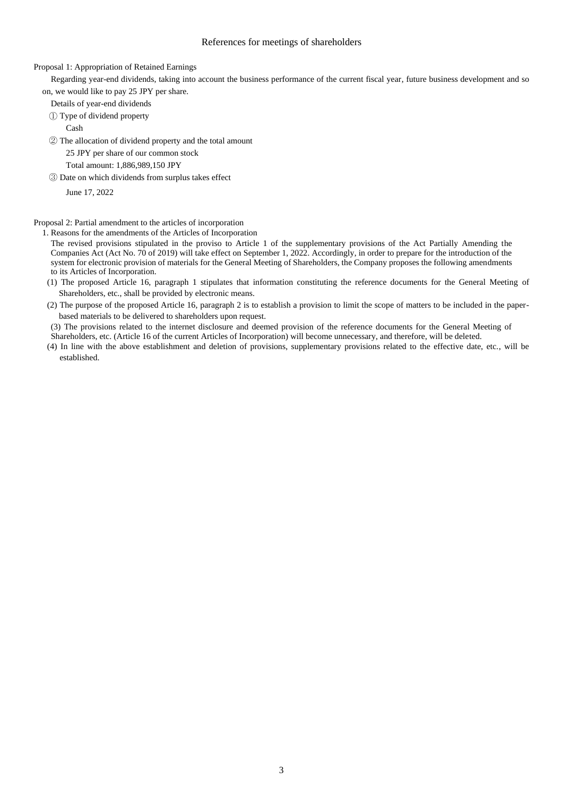#### References for meetings of shareholders

Proposal 1: Appropriation of Retained Earnings

Regarding year-end dividends, taking into account the business performance of the current fiscal year, future business development and so on, we would like to pay 25 JPY per share.

Details of year-end dividends

① Type of dividend property

Cash

② The allocation of dividend property and the total amount

25 JPY per share of our common stock

Total amount: 1,886,989,150 JPY

③ Date on which dividends from surplus takes effect

June 17, 2022

Proposal 2: Partial amendment to the articles of incorporation

1. Reasons for the amendments of the Articles of Incorporation

The revised provisions stipulated in the proviso to Article 1 of the supplementary provisions of the Act Partially Amending the Companies Act (Act No. 70 of 2019) will take effect on September 1, 2022. Accordingly, in order to prepare for the introduction of the system for electronic provision of materials for the General Meeting of Shareholders, the Company proposes the following amendments to its Articles of Incorporation.

- (1) The proposed Article 16, paragraph 1 stipulates that information constituting the reference documents for the General Meeting of Shareholders, etc., shall be provided by electronic means.
- (2) The purpose of the proposed Article 16, paragraph 2 is to establish a provision to limit the scope of matters to be included in the paperbased materials to be delivered to shareholders upon request.

(3) The provisions related to the internet disclosure and deemed provision of the reference documents for the General Meeting of Shareholders, etc. (Article 16 of the current Articles of Incorporation) will become unnecessary, and therefore, will be deleted.

(4) In line with the above establishment and deletion of provisions, supplementary provisions related to the effective date, etc., will be established.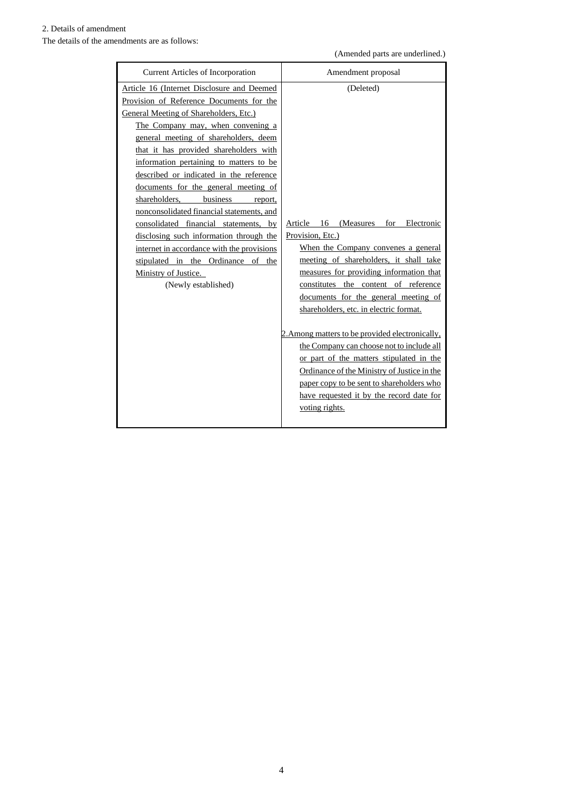# 2. Details of amendment

The details of the amendments are as follows:

(Amended parts are underlined.)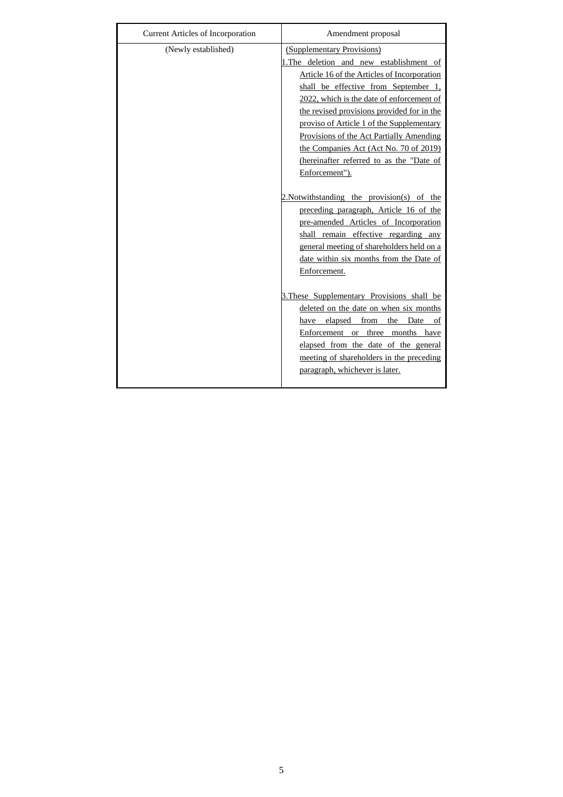| Current Articles of Incorporation | Amendment proposal                                                                                                                                                                                                                                                                                                                                                                                                                                        |
|-----------------------------------|-----------------------------------------------------------------------------------------------------------------------------------------------------------------------------------------------------------------------------------------------------------------------------------------------------------------------------------------------------------------------------------------------------------------------------------------------------------|
| (Newly established)               | (Supplementary Provisions)<br>1. The deletion and new establishment of<br>Article 16 of the Articles of Incorporation<br>shall be effective from September 1,<br>2022, which is the date of enforcement of<br>the revised provisions provided for in the<br>proviso of Article 1 of the Supplementary<br>Provisions of the Act Partially Amending<br>the Companies Act (Act No. 70 of 2019)<br>(hereinafter referred to as the "Date of<br>Enforcement"). |
|                                   | 2. Notwithstanding the provision(s) of the<br>preceding paragraph, Article 16 of the<br>pre-amended Articles of Incorporation<br>shall remain effective regarding any<br>general meeting of shareholders held on a<br>date within six months from the Date of<br>Enforcement.                                                                                                                                                                             |
|                                   | 3. These Supplementary Provisions shall be<br>deleted on the date on when six months<br>have elapsed from<br>the<br>Date<br>of<br>Enforcement or three months have<br>elapsed from the date of the general<br>meeting of shareholders in the preceding<br>paragraph, whichever is later.                                                                                                                                                                  |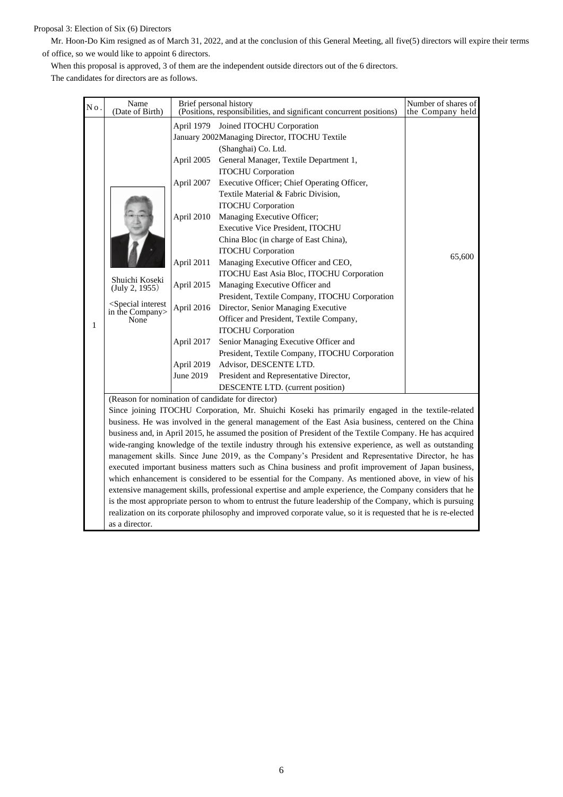## Proposal 3: Election of Six (6) Directors

Mr. Hoon-Do Kim resigned as of March 31, 2022, and at the conclusion of this General Meeting, all five(5) directors will expire their terms of office, so we would like to appoint 6 directors.

When this proposal is approved, 3 of them are the independent outside directors out of the 6 directors.

The candidates for directors are as follows.

| Νo. | Name<br>(Date of Birth)                                                                              |                                                                                                                           | Brief personal history<br>(Positions, responsibilities, and significant concurrent positions)                                                                                                                                                                                                                                                                                                                                                                                                                                                                                                                                                                                                                                                                                                                                                                                                         | Number of shares of<br>the Company held |  |  |  |
|-----|------------------------------------------------------------------------------------------------------|---------------------------------------------------------------------------------------------------------------------------|-------------------------------------------------------------------------------------------------------------------------------------------------------------------------------------------------------------------------------------------------------------------------------------------------------------------------------------------------------------------------------------------------------------------------------------------------------------------------------------------------------------------------------------------------------------------------------------------------------------------------------------------------------------------------------------------------------------------------------------------------------------------------------------------------------------------------------------------------------------------------------------------------------|-----------------------------------------|--|--|--|
| 1   | Shuichi Koseki<br>(July 2, 1955)<br><special interest<br="">in the Company&gt;<br/>None</special>    | April 2005<br>April 2007<br>April 2010<br>April 2011<br>April 2015<br>April 2016<br>April 2017<br>April 2019<br>June 2019 | April 1979 Joined ITOCHU Corporation<br>January 2002Managing Director, ITOCHU Textile<br>(Shanghai) Co. Ltd.<br>General Manager, Textile Department 1,<br><b>ITOCHU</b> Corporation<br>Executive Officer; Chief Operating Officer,<br>Textile Material & Fabric Division,<br><b>ITOCHU</b> Corporation<br>Managing Executive Officer;<br>Executive Vice President, ITOCHU<br>China Bloc (in charge of East China),<br><b>ITOCHU</b> Corporation<br>Managing Executive Officer and CEO,<br>ITOCHU East Asia Bloc, ITOCHU Corporation<br>Managing Executive Officer and<br>President, Textile Company, ITOCHU Corporation<br>Director, Senior Managing Executive<br>Officer and President, Textile Company,<br><b>ITOCHU</b> Corporation<br>Senior Managing Executive Officer and<br>President, Textile Company, ITOCHU Corporation<br>Advisor, DESCENTE LTD.<br>President and Representative Director, | 65,600                                  |  |  |  |
|     |                                                                                                      |                                                                                                                           | DESCENTE LTD. (current position)                                                                                                                                                                                                                                                                                                                                                                                                                                                                                                                                                                                                                                                                                                                                                                                                                                                                      |                                         |  |  |  |
|     |                                                                                                      |                                                                                                                           | (Reason for nomination of candidate for director)                                                                                                                                                                                                                                                                                                                                                                                                                                                                                                                                                                                                                                                                                                                                                                                                                                                     |                                         |  |  |  |
|     |                                                                                                      |                                                                                                                           | Since joining ITOCHU Corporation, Mr. Shuichi Koseki has primarily engaged in the textile-related                                                                                                                                                                                                                                                                                                                                                                                                                                                                                                                                                                                                                                                                                                                                                                                                     |                                         |  |  |  |
|     |                                                                                                      |                                                                                                                           | business. He was involved in the general management of the East Asia business, centered on the China                                                                                                                                                                                                                                                                                                                                                                                                                                                                                                                                                                                                                                                                                                                                                                                                  |                                         |  |  |  |
|     |                                                                                                      |                                                                                                                           | business and, in April 2015, he assumed the position of President of the Textile Company. He has acquired                                                                                                                                                                                                                                                                                                                                                                                                                                                                                                                                                                                                                                                                                                                                                                                             |                                         |  |  |  |
|     |                                                                                                      |                                                                                                                           | wide-ranging knowledge of the textile industry through his extensive experience, as well as outstanding                                                                                                                                                                                                                                                                                                                                                                                                                                                                                                                                                                                                                                                                                                                                                                                               |                                         |  |  |  |
|     | management skills. Since June 2019, as the Company's President and Representative Director, he has   |                                                                                                                           |                                                                                                                                                                                                                                                                                                                                                                                                                                                                                                                                                                                                                                                                                                                                                                                                                                                                                                       |                                         |  |  |  |
|     | executed important business matters such as China business and profit improvement of Japan business, |                                                                                                                           |                                                                                                                                                                                                                                                                                                                                                                                                                                                                                                                                                                                                                                                                                                                                                                                                                                                                                                       |                                         |  |  |  |
|     | which enhancement is considered to be essential for the Company. As mentioned above, in view of his  |                                                                                                                           |                                                                                                                                                                                                                                                                                                                                                                                                                                                                                                                                                                                                                                                                                                                                                                                                                                                                                                       |                                         |  |  |  |

extensive management skills, professional expertise and ample experience, the Company considers that he

is the most appropriate person to whom to entrust the future leadership of the Company, which is pursuing realization on its corporate philosophy and improved corporate value, so it is requested that he is re-elected

as a director.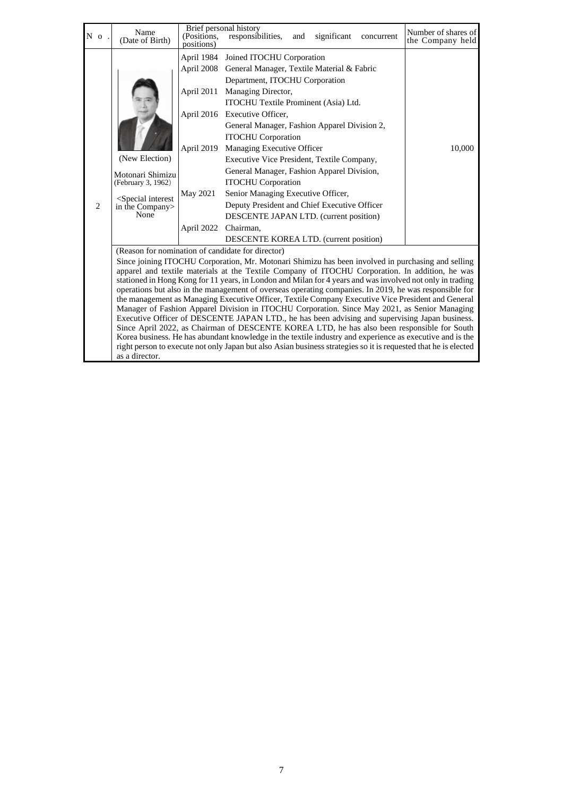| N <sub>o</sub>                                                                                | Name<br>(Date of Birth)                                                                                                                                                                       | (Positions,<br>positions) | Brief personal history<br>responsibilities,<br>significant<br>and<br>concurrent                                                                                                                                             | Number of shares of<br>the Company held |  |  |  |  |
|-----------------------------------------------------------------------------------------------|-----------------------------------------------------------------------------------------------------------------------------------------------------------------------------------------------|---------------------------|-----------------------------------------------------------------------------------------------------------------------------------------------------------------------------------------------------------------------------|-----------------------------------------|--|--|--|--|
|                                                                                               |                                                                                                                                                                                               | April 2008                | April 1984 Joined ITOCHU Corporation<br>General Manager, Textile Material & Fabric<br>Department, ITOCHU Corporation                                                                                                        |                                         |  |  |  |  |
|                                                                                               |                                                                                                                                                                                               | April 2011                | Managing Director,<br>ITOCHU Textile Prominent (Asia) Ltd.                                                                                                                                                                  |                                         |  |  |  |  |
|                                                                                               |                                                                                                                                                                                               |                           | April 2016 Executive Officer,<br>General Manager, Fashion Apparel Division 2,                                                                                                                                               |                                         |  |  |  |  |
|                                                                                               |                                                                                                                                                                                               |                           | <b>ITOCHU</b> Corporation                                                                                                                                                                                                   |                                         |  |  |  |  |
|                                                                                               | (New Election)                                                                                                                                                                                | April 2019                | Managing Executive Officer<br>Executive Vice President, Textile Company,                                                                                                                                                    | 10,000                                  |  |  |  |  |
|                                                                                               | Motonari Shimizu                                                                                                                                                                              |                           | General Manager, Fashion Apparel Division,                                                                                                                                                                                  |                                         |  |  |  |  |
|                                                                                               | (February 3, 1962)                                                                                                                                                                            |                           | <b>ITOCHU</b> Corporation                                                                                                                                                                                                   |                                         |  |  |  |  |
|                                                                                               | <special interest<br="">in the Company&gt;</special>                                                                                                                                          | May 2021                  | Senior Managing Executive Officer,                                                                                                                                                                                          |                                         |  |  |  |  |
| 2                                                                                             |                                                                                                                                                                                               |                           | Deputy President and Chief Executive Officer                                                                                                                                                                                |                                         |  |  |  |  |
|                                                                                               | None                                                                                                                                                                                          |                           | DESCENTE JAPAN LTD. (current position)                                                                                                                                                                                      |                                         |  |  |  |  |
|                                                                                               |                                                                                                                                                                                               | April 2022                | Chairman,                                                                                                                                                                                                                   |                                         |  |  |  |  |
|                                                                                               |                                                                                                                                                                                               |                           | <b>DESCENTE KOREA LTD.</b> (current position)                                                                                                                                                                               |                                         |  |  |  |  |
|                                                                                               | (Reason for nomination of candidate for director)                                                                                                                                             |                           |                                                                                                                                                                                                                             |                                         |  |  |  |  |
|                                                                                               |                                                                                                                                                                                               |                           | Since joining ITOCHU Corporation, Mr. Motonari Shimizu has been involved in purchasing and selling                                                                                                                          |                                         |  |  |  |  |
|                                                                                               |                                                                                                                                                                                               |                           | apparel and textile materials at the Textile Company of ITOCHU Corporation. In addition, he was<br>stationed in Hong Kong for 11 years, in London and Milan for 4 years and was involved not only in trading                |                                         |  |  |  |  |
|                                                                                               |                                                                                                                                                                                               |                           | operations but also in the management of overseas operating companies. In 2019, he was responsible for                                                                                                                      |                                         |  |  |  |  |
|                                                                                               | the management as Managing Executive Officer, Textile Company Executive Vice President and General                                                                                            |                           |                                                                                                                                                                                                                             |                                         |  |  |  |  |
| Manager of Fashion Apparel Division in ITOCHU Corporation. Since May 2021, as Senior Managing |                                                                                                                                                                                               |                           |                                                                                                                                                                                                                             |                                         |  |  |  |  |
|                                                                                               | Executive Officer of DESCENTE JAPAN LTD., he has been advising and supervising Japan business.<br>Since April 2022, as Chairman of DESCENTE KOREA LTD, he has also been responsible for South |                           |                                                                                                                                                                                                                             |                                         |  |  |  |  |
|                                                                                               |                                                                                                                                                                                               |                           |                                                                                                                                                                                                                             |                                         |  |  |  |  |
|                                                                                               |                                                                                                                                                                                               |                           | Korea business. He has abundant knowledge in the textile industry and experience as executive and is the<br>right person to execute not only Japan but also Asian business strategies so it is requested that he is elected |                                         |  |  |  |  |
|                                                                                               | as a director.                                                                                                                                                                                |                           |                                                                                                                                                                                                                             |                                         |  |  |  |  |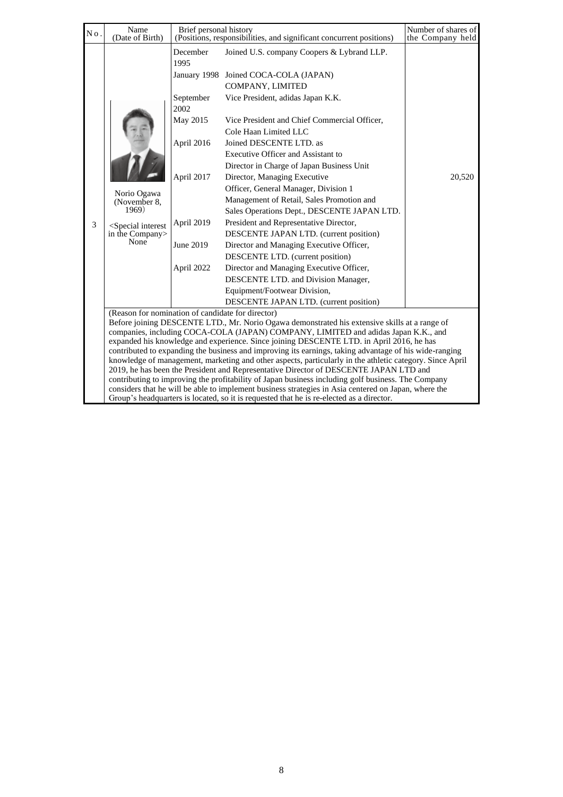| No. | Name<br>(Date of Birth)                                                                           | Brief personal history                                                                                                 | (Positions, responsibilities, and significant concurrent positions)                                                                                                                                                                                                                                                                                                                                                                                                                                                                                                                                                                                                                                                                                                                                                                                                                                      | Number of shares of<br>the Company held |
|-----|---------------------------------------------------------------------------------------------------|------------------------------------------------------------------------------------------------------------------------|----------------------------------------------------------------------------------------------------------------------------------------------------------------------------------------------------------------------------------------------------------------------------------------------------------------------------------------------------------------------------------------------------------------------------------------------------------------------------------------------------------------------------------------------------------------------------------------------------------------------------------------------------------------------------------------------------------------------------------------------------------------------------------------------------------------------------------------------------------------------------------------------------------|-----------------------------------------|
| 3   | Norio Ogawa<br>(November 8,<br>1969)<br><special interest<br="">in the Company<br/>None</special> | December<br>1995<br>September<br>2002<br>May 2015<br>April 2016<br>April 2017<br>April 2019<br>June 2019<br>April 2022 | Joined U.S. company Coopers & Lybrand LLP.<br>January 1998 Joined COCA-COLA (JAPAN)<br>COMPANY, LIMITED<br>Vice President, adidas Japan K.K.<br>Vice President and Chief Commercial Officer,<br>Cole Haan Limited LLC<br>Joined DESCENTE LTD. as<br>Executive Officer and Assistant to<br>Director in Charge of Japan Business Unit<br>Director, Managing Executive<br>Officer, General Manager, Division 1<br>Management of Retail, Sales Promotion and<br>Sales Operations Dept., DESCENTE JAPAN LTD.<br>President and Representative Director,<br>DESCENTE JAPAN LTD. (current position)<br>Director and Managing Executive Officer,<br>DESCENTE LTD. (current position)<br>Director and Managing Executive Officer,<br>DESCENTE LTD. and Division Manager,<br>Equipment/Footwear Division,                                                                                                           | 20,520                                  |
|     |                                                                                                   |                                                                                                                        | DESCENTE JAPAN LTD. (current position)                                                                                                                                                                                                                                                                                                                                                                                                                                                                                                                                                                                                                                                                                                                                                                                                                                                                   |                                         |
|     | (Reason for nomination of candidate for director)                                                 |                                                                                                                        | Before joining DESCENTE LTD., Mr. Norio Ogawa demonstrated his extensive skills at a range of<br>companies, including COCA-COLA (JAPAN) COMPANY, LIMITED and adidas Japan K.K., and<br>expanded his knowledge and experience. Since joining DESCENTE LTD. in April 2016, he has<br>contributed to expanding the business and improving its earnings, taking advantage of his wide-ranging<br>knowledge of management, marketing and other aspects, particularly in the athletic category. Since April<br>2019, he has been the President and Representative Director of DESCENTE JAPAN LTD and<br>contributing to improving the profitability of Japan business including golf business. The Company<br>considers that he will be able to implement business strategies in Asia centered on Japan, where the<br>Group's headquarters is located, so it is requested that he is re-elected as a director. |                                         |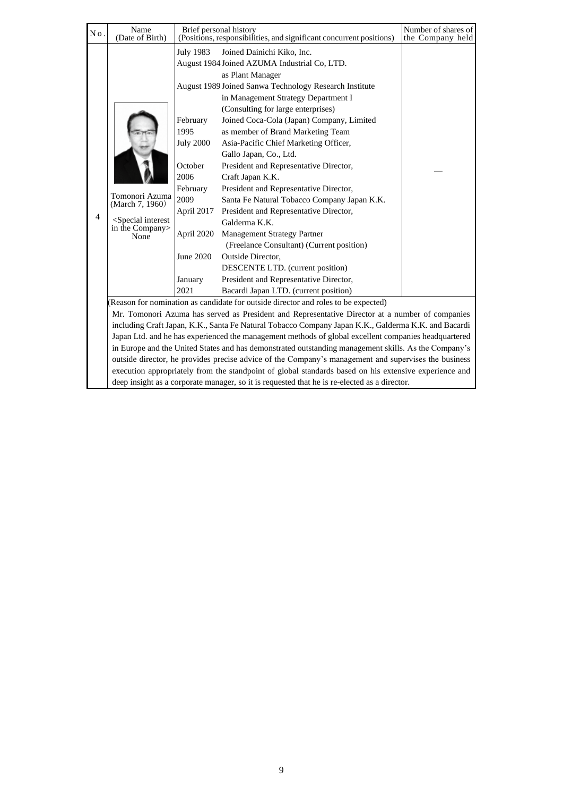| No. | Name<br>(Date of Birth)                                                                              | Brief personal history                                                                                                                               | (Positions, responsibilities, and significant concurrent positions)                                                                                                                                                                                                                                                                                                                                                                                                                                                                                                                                                                                                                                                                                                                                                                                                                                                                                                                                                                                                                                                                                                                                                                                                                                                                                         | Number of shares of<br>the Company held |  |  |  |
|-----|------------------------------------------------------------------------------------------------------|------------------------------------------------------------------------------------------------------------------------------------------------------|-------------------------------------------------------------------------------------------------------------------------------------------------------------------------------------------------------------------------------------------------------------------------------------------------------------------------------------------------------------------------------------------------------------------------------------------------------------------------------------------------------------------------------------------------------------------------------------------------------------------------------------------------------------------------------------------------------------------------------------------------------------------------------------------------------------------------------------------------------------------------------------------------------------------------------------------------------------------------------------------------------------------------------------------------------------------------------------------------------------------------------------------------------------------------------------------------------------------------------------------------------------------------------------------------------------------------------------------------------------|-----------------------------------------|--|--|--|
| 4   | Tomonori Azuma<br>(March 7, 1960)<br><special interest<br="">in the Company&gt;<br/>None</special>   | July 1983<br>February<br>1995<br><b>July 2000</b><br>October<br>2006<br>February<br>2009<br>April 2017<br>April 2020<br>June 2020<br>January<br>2021 | Joined Dainichi Kiko, Inc.<br>August 1984 Joined AZUMA Industrial Co, LTD.<br>as Plant Manager<br>August 1989 Joined Sanwa Technology Research Institute<br>in Management Strategy Department I<br>(Consulting for large enterprises)<br>Joined Coca-Cola (Japan) Company, Limited<br>as member of Brand Marketing Team<br>Asia-Pacific Chief Marketing Officer,<br>Gallo Japan, Co., Ltd.<br>President and Representative Director,<br>Craft Japan K.K.<br>President and Representative Director,<br>Santa Fe Natural Tobacco Company Japan K.K.<br>President and Representative Director,<br>Galderma K.K.<br><b>Management Strategy Partner</b><br>(Freelance Consultant) (Current position)<br>Outside Director,<br>DESCENTE LTD. (current position)<br>President and Representative Director,<br>Bacardi Japan LTD. (current position)<br>(Reason for nomination as candidate for outside director and roles to be expected)<br>Mr. Tomonori Azuma has served as President and Representative Director at a number of companies<br>including Craft Japan, K.K., Santa Fe Natural Tobacco Company Japan K.K., Galderma K.K. and Bacardi<br>Japan Ltd. and he has experienced the management methods of global excellent companies headquartered<br>in Europe and the United States and has demonstrated outstanding management skills. As the Company's |                                         |  |  |  |
|     | outside director, he provides precise advice of the Company's management and supervises the business |                                                                                                                                                      |                                                                                                                                                                                                                                                                                                                                                                                                                                                                                                                                                                                                                                                                                                                                                                                                                                                                                                                                                                                                                                                                                                                                                                                                                                                                                                                                                             |                                         |  |  |  |

execution appropriately from the standpoint of global standards based on his extensive experience and

deep insight as a corporate manager, so it is requested that he is re-elected as a director.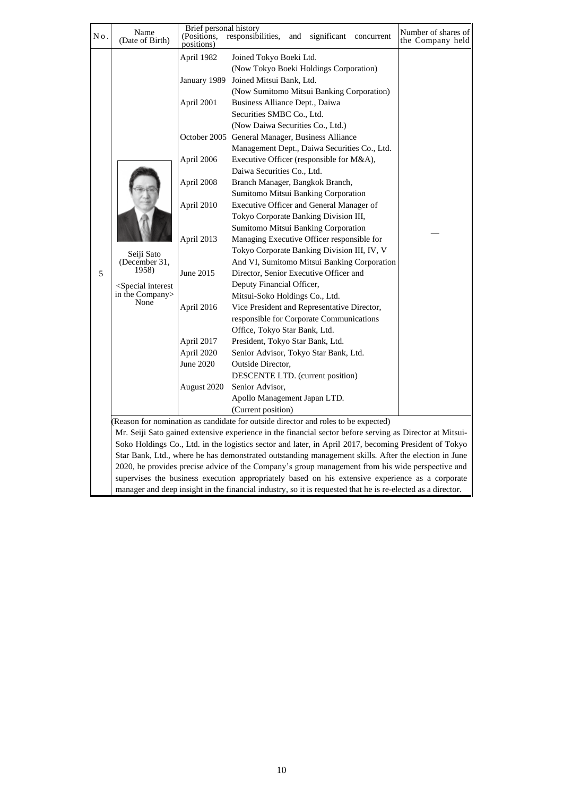| No. | Name<br>(Date of Birth)                                                                    | Brief personal history<br>(Positions,                                                                                                                                             | responsibilities,<br>and<br>significant concurrent                                                                                                                                                                                                                                                                                                                                                                                                                                                                                                                                                                                                                                                                                                                                                                                                                                                                                                                                                                                                                                                                                                                                                                                                                                                                                  | Number of shares of<br>the Company held |
|-----|--------------------------------------------------------------------------------------------|-----------------------------------------------------------------------------------------------------------------------------------------------------------------------------------|-------------------------------------------------------------------------------------------------------------------------------------------------------------------------------------------------------------------------------------------------------------------------------------------------------------------------------------------------------------------------------------------------------------------------------------------------------------------------------------------------------------------------------------------------------------------------------------------------------------------------------------------------------------------------------------------------------------------------------------------------------------------------------------------------------------------------------------------------------------------------------------------------------------------------------------------------------------------------------------------------------------------------------------------------------------------------------------------------------------------------------------------------------------------------------------------------------------------------------------------------------------------------------------------------------------------------------------|-----------------------------------------|
| 5   | Seiji Sato<br>(December 31,<br>1958)<br>$\leq$ Special interest<br>in the Company><br>None | positions)<br>April 1982<br>April 2001<br>April 2006<br>April 2008<br>April 2010<br>April 2013<br>June 2015<br>April 2016<br>April 2017<br>April 2020<br>June 2020<br>August 2020 | Joined Tokyo Boeki Ltd.<br>(Now Tokyo Boeki Holdings Corporation)<br>January 1989 Joined Mitsui Bank, Ltd.<br>(Now Sumitomo Mitsui Banking Corporation)<br>Business Alliance Dept., Daiwa<br>Securities SMBC Co., Ltd.<br>(Now Daiwa Securities Co., Ltd.)<br>October 2005 General Manager, Business Alliance<br>Management Dept., Daiwa Securities Co., Ltd.<br>Executive Officer (responsible for M&A),<br>Daiwa Securities Co., Ltd.<br>Branch Manager, Bangkok Branch,<br>Sumitomo Mitsui Banking Corporation<br>Executive Officer and General Manager of<br>Tokyo Corporate Banking Division III,<br>Sumitomo Mitsui Banking Corporation<br>Managing Executive Officer responsible for<br>Tokyo Corporate Banking Division III, IV, V<br>And VI, Sumitomo Mitsui Banking Corporation<br>Director, Senior Executive Officer and<br>Deputy Financial Officer,<br>Mitsui-Soko Holdings Co., Ltd.<br>Vice President and Representative Director,<br>responsible for Corporate Communications<br>Office, Tokyo Star Bank, Ltd.<br>President, Tokyo Star Bank, Ltd.<br>Senior Advisor, Tokyo Star Bank, Ltd.<br>Outside Director,<br>DESCENTE LTD. (current position)<br>Senior Advisor,<br>Apollo Management Japan LTD.<br>(Current position)<br>(Reason for nomination as candidate for outside director and roles to be expected) |                                         |
|     |                                                                                            |                                                                                                                                                                                   | Mr. Seiji Sato gained extensive experience in the financial sector before serving as Director at Mitsui-                                                                                                                                                                                                                                                                                                                                                                                                                                                                                                                                                                                                                                                                                                                                                                                                                                                                                                                                                                                                                                                                                                                                                                                                                            |                                         |
|     |                                                                                            | Soko Holdings Co., Ltd. in the logistics sector and later, in April 2017, becoming President of Tokyo                                                                             |                                                                                                                                                                                                                                                                                                                                                                                                                                                                                                                                                                                                                                                                                                                                                                                                                                                                                                                                                                                                                                                                                                                                                                                                                                                                                                                                     |                                         |
|     |                                                                                            |                                                                                                                                                                                   | Star Bank, Ltd., where he has demonstrated outstanding management skills. After the election in June                                                                                                                                                                                                                                                                                                                                                                                                                                                                                                                                                                                                                                                                                                                                                                                                                                                                                                                                                                                                                                                                                                                                                                                                                                |                                         |
|     |                                                                                            |                                                                                                                                                                                   | 2020, he provides precise advice of the Company's group management from his wide perspective and                                                                                                                                                                                                                                                                                                                                                                                                                                                                                                                                                                                                                                                                                                                                                                                                                                                                                                                                                                                                                                                                                                                                                                                                                                    |                                         |
|     |                                                                                            |                                                                                                                                                                                   | supervises the business execution appropriately based on his extensive experience as a corporate                                                                                                                                                                                                                                                                                                                                                                                                                                                                                                                                                                                                                                                                                                                                                                                                                                                                                                                                                                                                                                                                                                                                                                                                                                    |                                         |

manager and deep insight in the financial industry, so it is requested that he is re-elected as a director.

10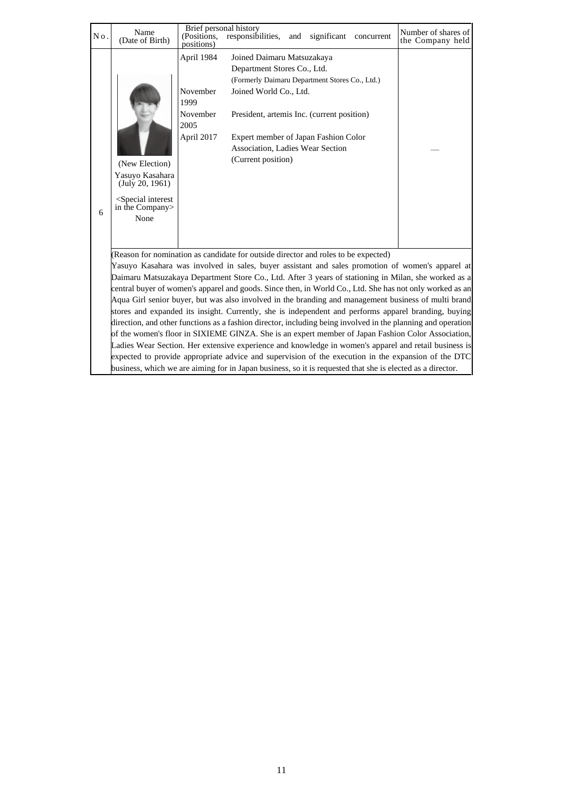| No. | Name<br>(Date of Birth)                                                                                                                                                                          | Brief personal history<br>(Positions,<br>positions)              | responsibilities,                                                                                                                                                                                                                                                                     | and | significant | concurrent | Number of shares of<br>the Company held                                                                                                                                                                                                                                                                                                                                                                                                                                                                                                                                                                                                                                                                                                                                                                                                                                                                                                                                    |
|-----|--------------------------------------------------------------------------------------------------------------------------------------------------------------------------------------------------|------------------------------------------------------------------|---------------------------------------------------------------------------------------------------------------------------------------------------------------------------------------------------------------------------------------------------------------------------------------|-----|-------------|------------|----------------------------------------------------------------------------------------------------------------------------------------------------------------------------------------------------------------------------------------------------------------------------------------------------------------------------------------------------------------------------------------------------------------------------------------------------------------------------------------------------------------------------------------------------------------------------------------------------------------------------------------------------------------------------------------------------------------------------------------------------------------------------------------------------------------------------------------------------------------------------------------------------------------------------------------------------------------------------|
| 6   | (New Election)<br>Yasuyo Kasahara<br>(July 20, 1961)<br><special interest<br="">in the Company&gt;<br/>None</special>                                                                            | April 1984<br>November<br>1999<br>November<br>2005<br>April 2017 | Joined Daimaru Matsuzakaya<br>Department Stores Co., Ltd.<br>(Formerly Daimaru Department Stores Co., Ltd.)<br>Joined World Co., Ltd.<br>President, artemis Inc. (current position)<br>Expert member of Japan Fashion Color<br>Association, Ladies Wear Section<br>(Current position) |     |             |            |                                                                                                                                                                                                                                                                                                                                                                                                                                                                                                                                                                                                                                                                                                                                                                                                                                                                                                                                                                            |
|     | (Reason for nomination as candidate for outside director and roles to be expected)<br>business, which we are aiming for in Japan business, so it is requested that she is elected as a director. |                                                                  |                                                                                                                                                                                                                                                                                       |     |             |            | Yasuyo Kasahara was involved in sales, buyer assistant and sales promotion of women's apparel at<br>Daimaru Matsuzakaya Department Store Co., Ltd. After 3 years of stationing in Milan, she worked as a<br>central buyer of women's apparel and goods. Since then, in World Co., Ltd. She has not only worked as an<br>Aqua Girl senior buyer, but was also involved in the branding and management business of multi brand<br>stores and expanded its insight. Currently, she is independent and performs apparel branding, buying<br>direction, and other functions as a fashion director, including being involved in the planning and operation<br>of the women's floor in SIXIEME GINZA. She is an expert member of Japan Fashion Color Association,<br>Ladies Wear Section. Her extensive experience and knowledge in women's apparel and retail business is<br>expected to provide appropriate advice and supervision of the execution in the expansion of the DTC |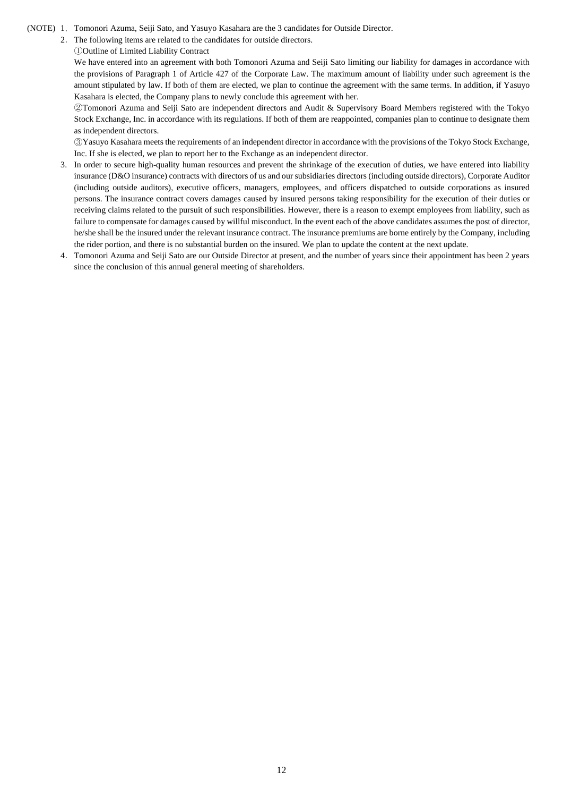- (NOTE) 1.Tomonori Azuma, Seiji Sato, and Yasuyo Kasahara are the 3 candidates for Outside Director.
	- 2.The following items are related to the candidates for outside directors.

#### ①Outline of Limited Liability Contract

We have entered into an agreement with both Tomonori Azuma and Seiji Sato limiting our liability for damages in accordance with the provisions of Paragraph 1 of Article 427 of the Corporate Law. The maximum amount of liability under such agreement is the amount stipulated by law. If both of them are elected, we plan to continue the agreement with the same terms. In addition, if Yasuyo Kasahara is elected, the Company plans to newly conclude this agreement with her.

②Tomonori Azuma and Seiji Sato are independent directors and Audit & Supervisory Board Members registered with the Tokyo Stock Exchange, Inc. in accordance with its regulations. If both of them are reappointed, companies plan to continue to designate them as independent directors.

③Yasuyo Kasahara meets the requirements of an independent director in accordance with the provisions of the Tokyo Stock Exchange, Inc. If she is elected, we plan to report her to the Exchange as an independent director.

- 3. In order to secure high-quality human resources and prevent the shrinkage of the execution of duties, we have entered into liability insurance (D&O insurance) contracts with directors of us and our subsidiaries directors (including outside directors), Corporate Auditor (including outside auditors), executive officers, managers, employees, and officers dispatched to outside corporations as insured persons. The insurance contract covers damages caused by insured persons taking responsibility for the execution of their duties or receiving claims related to the pursuit of such responsibilities. However, there is a reason to exempt employees from liability, such as failure to compensate for damages caused by willful misconduct. In the event each of the above candidates assumes the post of director, he/she shall be the insured under the relevant insurance contract. The insurance premiums are borne entirely by the Company, including the rider portion, and there is no substantial burden on the insured. We plan to update the content at the next update.
- 4.Tomonori Azuma and Seiji Sato are our Outside Director at present, and the number of years since their appointment has been 2 years since the conclusion of this annual general meeting of shareholders.